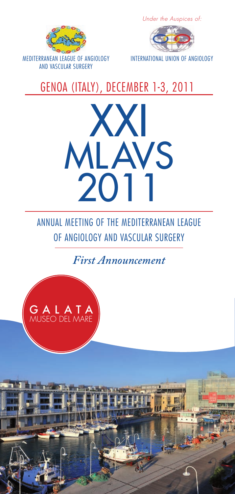

Under the Auspices of:



### GENOA (ITALY), DECEMBER 1-3, 2011



ANNUAL MEETING OF THE MEDITERRANEAN LEAGUE OF ANGIOLOGY AND VASCULAR SURGERY

*First Announcement*

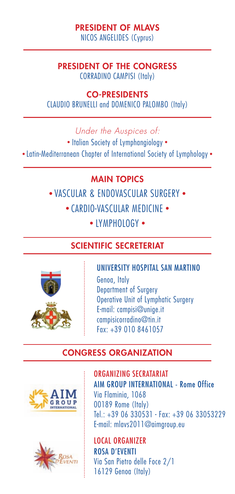#### PRESIDENT OF MLAVS NICOS ANGELIDES (Cyprus)

#### PRESIDENT OF THE CONGRESS CORRADINO CAMPISI (Italy)

#### CO-PRESIDENTS

CLAUDIO BRUNELLI and DOMENICO PALOMBO (Italy)

Under the Auspices of:

• Italian Society of Lymphangiology • • Latin-Mediterranean Chapter of International Society of Lymphology •

#### MAIN TOPICS

• VASCULAR & ENDOVASCULAR SURGERY • • CARDIO-VASCULAR MEDICINE •

• IYMPHOLOGY •

#### SCIENTIFIC SECRETERIAT



UNIVERSITY HOSPITAL SAN MARTINO Genoa, Italy Department of Surgery Operative Unit of Lymphatic Surgery E-mail: campisi@unige.it campisicorradino@tin.it Fax: +39 010 8461057

### CONGRESS ORGANIZATION





ORGANIZING SECRATARIAT AIM GROUP INTERNATIONAL - Rome Office Via Flaminia, 1068 00189 Rome (Italy) Tel.: +39 06 330531 - Fax: +39 06 33053229 E-mail: mlavs2011@aimgroup.eu

LOCAL ORGANIZER ROSA D'EVENTI Via San Pietro delle Foce 2/1 16129 Genoa (Italy)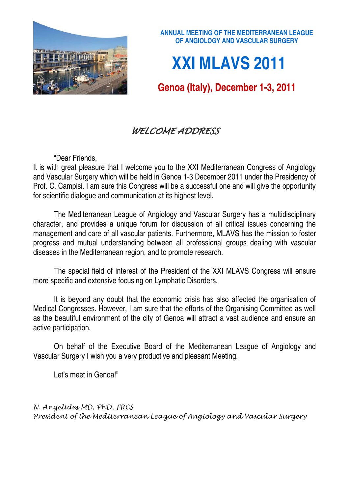

**ANNUAL MEETING OF THE MEDITERRANEAN LEAGUE OF ANGIOLOGY AND VASCULAR SURGERY** 

# **XXI MLAVS 2011**

## **Genoa (Italy), December 1-3, 2011**

## WELCOME ADDRESS

"Dear Friends,

It is with great pleasure that I welcome you to the XXI Mediterranean Congress of Angiology and Vascular Surgery which will be held in Genoa 1-3 December 2011 under the Presidency of Prof. C. Campisi. I am sure this Congress will be a successful one and will give the opportunity for scientific dialogue and communication at its highest level.

The Mediterranean League of Angiology and Vascular Surgery has a multidisciplinary character, and provides a unique forum for discussion of all critical issues concerning the management and care of all vascular patients. Furthermore, MLAVS has the mission to foster progress and mutual understanding between all professional groups dealing with vascular diseases in the Mediterranean region, and to promote research.

The special field of interest of the President of the XXI MLAVS Congress will ensure more specific and extensive focusing on Lymphatic Disorders.

It is beyond any doubt that the economic crisis has also affected the organisation of Medical Congresses. However, I am sure that the efforts of the Organising Committee as well as the beautiful environment of the city of Genoa will attract a vast audience and ensure an active participation.

On behalf of the Executive Board of the Mediterranean League of Angiology and Vascular Surgery I wish you a very productive and pleasant Meeting.

Let's meet in Genoa!"

N. Angelides MD, PhD, FRCS President of the Mediterranean League of Angiology and Vascular Surgery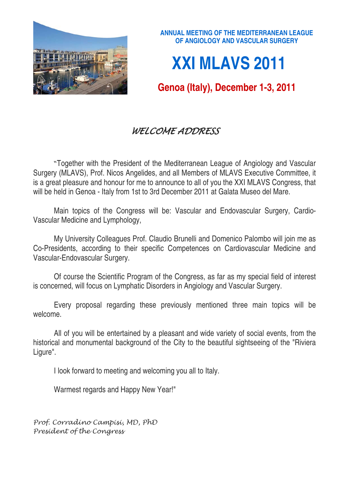

## **XXI MLAVS 2011**

**Genoa (Italy), December 1-3, 2011** 

## WELCOME ADDRESS

"Together with the President of the Mediterranean League of Angiology and Vascular Surgery (MLAVS), Prof. Nicos Angelides, and all Members of MLAVS Executive Committee, it is a great pleasure and honour for me to announce to all of you the XXI MLAVS Congress, that will be held in Genoa - Italy from 1st to 3rd December 2011 at Galata Museo del Mare.

 Main topics of the Congress will be: Vascular and Endovascular Surgery, Cardio-Vascular Medicine and Lymphology,

 My University Colleagues Prof. Claudio Brunelli and Domenico Palombo will join me as Co-Presidents, according to their specific Competences on Cardiovascular Medicine and Vascular-Endovascular Surgery.

 Of course the Scientific Program of the Congress, as far as my special field of interest is concerned, will focus on Lymphatic Disorders in Angiology and Vascular Surgery.

 Every proposal regarding these previously mentioned three main topics will be welcome.

 All of you will be entertained by a pleasant and wide variety of social events, from the historical and monumental background of the City to the beautiful sightseeing of the "Riviera Ligure".

I look forward to meeting and welcoming you all to Italy.

Warmest regards and Happy New Year!"

Prof. Corradino Campisi, MD, PhD President of the Congress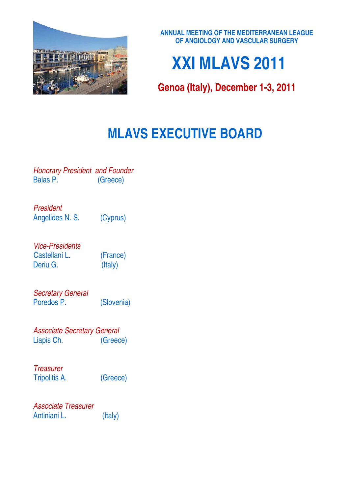

**ANNUAL MEETING OF THE MEDITERRANEAN LEAGUE OF ANGIOLOGY AND VASCULAR SURGERY** 

# **XXI MLAVS 2011**

**Genoa (Italy), December 1-3, 2011** 

## **MLAVS EXECUTIVE BOARD**

*Honorary President and Founder*  (Greece)

*President*  Angelides N. S. (Cyprus)

*Vice-Presidents*  Castellani L. (France) Deriu G. (Italy)

*Secretary General*  Poredos P. (Slovenia)

*Associate Secretary General*  Liapis Ch. (Greece)

*Treasurer*  Tripolitis A. (Greece)

*Associate Treasurer*  Antiniani L. (Italy)